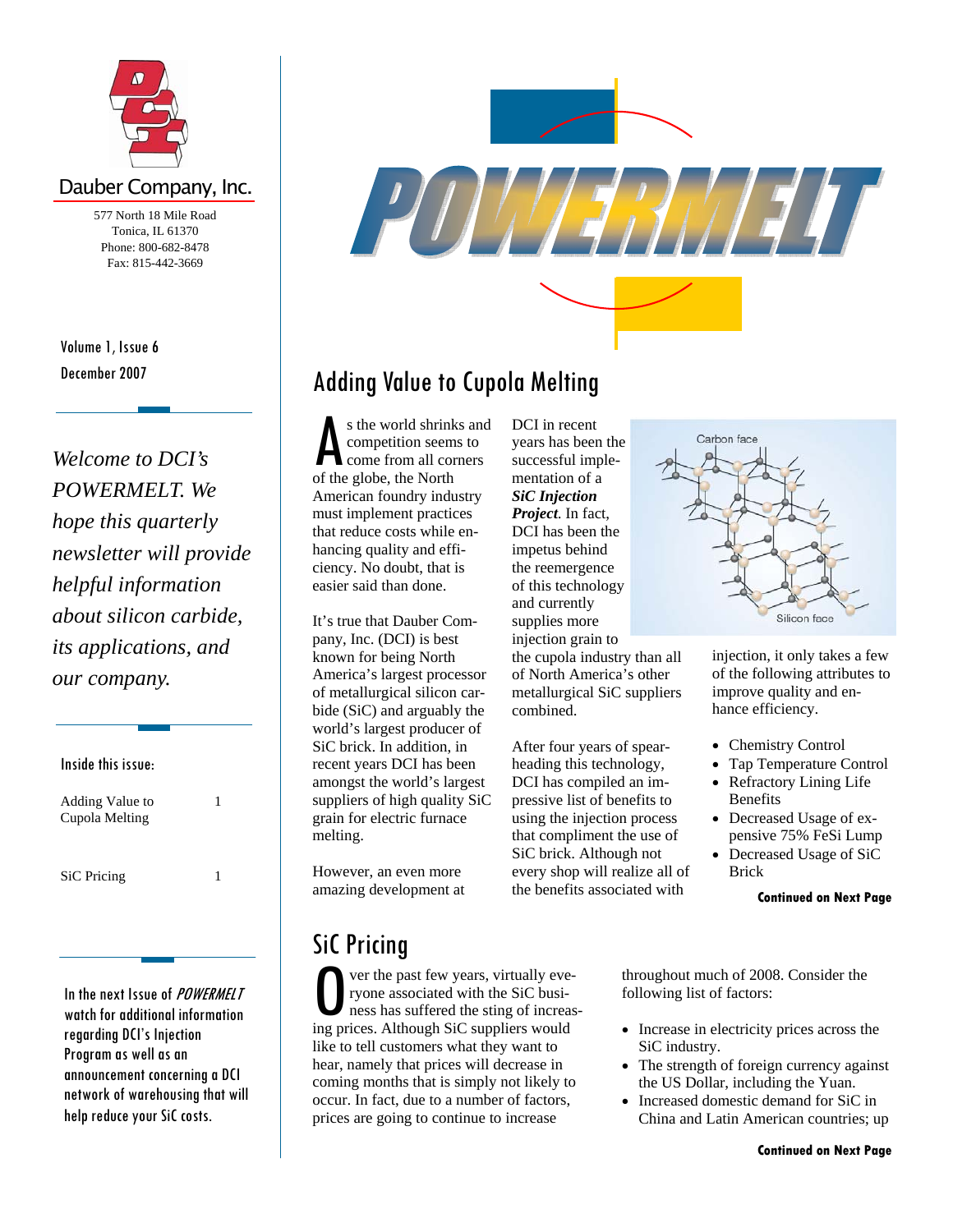

## Dauber Company, Inc.

577 North 18 Mile Road Tonica, IL 61370 Phone: 800-682-8478 Fax: 815-442-3669

December 2007 Volume 1, Issue 6

*Welcome to DCI's POWERMELT. We hope this quarterly newsletter will provide helpful information about silicon carbide, its applications, and our company.* 

Inside this issue: Adding Value to Cupola Melting 1 SiC Pricing 1

In the next Issue of POWERMELT watch for additional information regarding DCI's Injection Program as well as an announcement concerning a DCI network of warehousing that will help reduce your SiC costs.



## Adding Value to Cupola Melting

s the world shrinks and competition seems to come from all corners of the globe, the North American foundry industry must implement practices that reduce costs while enhancing quality and efficiency. No doubt, that is easier said than done.

It's true that Dauber Company, Inc. (DCI) is best known for being North America's largest processor of metallurgical silicon carbide (SiC) and arguably the world's largest producer of SiC brick. In addition, in recent years DCI has been amongst the world's largest suppliers of high quality SiC grain for electric furnace melting.

However, an even more amazing development at

## SiC Pricing

O ver the past few years, virtually everyone associated with the SiC business has suffered the sting of increasure in the siC suppliers would ryone associated with the SiC business has suffered the sting of increasing prices. Although SiC suppliers would like to tell customers what they want to hear, namely that prices will decrease in coming months that is simply not likely to occur. In fact, due to a number of factors, prices are going to continue to increase

DCI in recent years has been the successful implementation of a *SiC Injection Project*. In fact, DCI has been the impetus behind the reemergence of this technology and currently supplies more injection grain to the cupola industry than all of North America's other metallurgical SiC suppliers combined.

After four years of spearheading this technology, DCI has compiled an impressive list of benefits to using the injection process that compliment the use of SiC brick. Although not every shop will realize all of the benefits associated with



injection, it only takes a few of the following attributes to improve quality and enhance efficiency.

- Chemistry Control
- Tap Temperature Control
- Refractory Lining Life Benefits
- Decreased Usage of expensive 75% FeSi Lump
- Decreased Usage of SiC Brick

#### **Continued on Next Page**

throughout much of 2008. Consider the following list of factors:

- Increase in electricity prices across the SiC industry.
- The strength of foreign currency against the US Dollar, including the Yuan.
- Increased domestic demand for SiC in China and Latin American countries; up